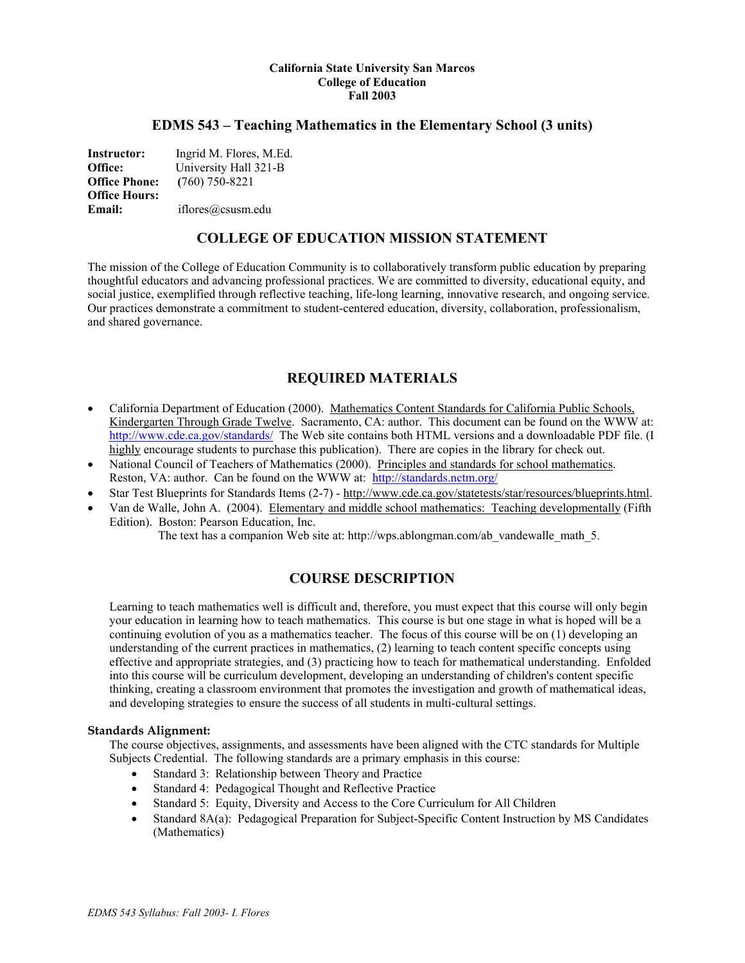#### **California State University San Marcos College of Education Fall 2003**

## **EDMS 543 – Teaching Mathematics in the Elementary School (3 units)**

**Instructor:** Ingrid M. Flores, M.Ed. **Office:** University Hall 321-B **Office Phone: (**760) 750-8221 **Office Hours: Email:** iflores@csusm.edu

## **COLLEGE OF EDUCATION MISSION STATEMENT**

The mission of the College of Education Community is to collaboratively transform public education by preparing thoughtful educators and advancing professional practices. We are committed to diversity, educational equity, and social justice, exemplified through reflective teaching, life-long learning, innovative research, and ongoing service. Our practices demonstrate a commitment to student-centered education, diversity, collaboration, professionalism, and shared governance.

## **REQUIRED MATERIALS**

- California Department of Education (2000). Mathematics Content Standards for California Public Schools, Kindergarten Through Grade Twelve. Sacramento, CA: author. This document can be found on the WWW at: http://www.cde.ca.gov/standards/ The Web site contains both HTML versions and a downloadable PDF file. (I highly encourage students to purchase this publication). There are copies in the library for check out.
- National Council of Teachers of Mathematics (2000). Principles and standards for school mathematics. Reston, VA: author. Can be found on the WWW at: http://standards.nctm.org/
- Star Test Blueprints for Standards Items (2-7) http://www.cde.ca.gov/statetests/star/resources/blueprints.html.
- Van de Walle, John A. (2004). Elementary and middle school mathematics: Teaching developmentally (Fifth Edition). Boston: Pearson Education, Inc.

The text has a companion Web site at: http://wps.ablongman.com/ab\_vandewalle\_math\_5.

## **COURSE DESCRIPTION**

Learning to teach mathematics well is difficult and, therefore, you must expect that this course will only begin your education in learning how to teach mathematics. This course is but one stage in what is hoped will be a continuing evolution of you as a mathematics teacher. The focus of this course will be on (1) developing an understanding of the current practices in mathematics, (2) learning to teach content specific concepts using effective and appropriate strategies, and (3) practicing how to teach for mathematical understanding. Enfolded into this course will be curriculum development, developing an understanding of children's content specific thinking, creating a classroom environment that promotes the investigation and growth of mathematical ideas, and developing strategies to ensure the success of all students in multi-cultural settings.

#### **Standards Alignment:**

The course objectives, assignments, and assessments have been aligned with the CTC standards for Multiple Subjects Credential. The following standards are a primary emphasis in this course:

- Standard 3: Relationship between Theory and Practice
- Standard 4: Pedagogical Thought and Reflective Practice
- Standard 5: Equity, Diversity and Access to the Core Curriculum for All Children
- Standard 8A(a): Pedagogical Preparation for Subject-Specific Content Instruction by MS Candidates (Mathematics)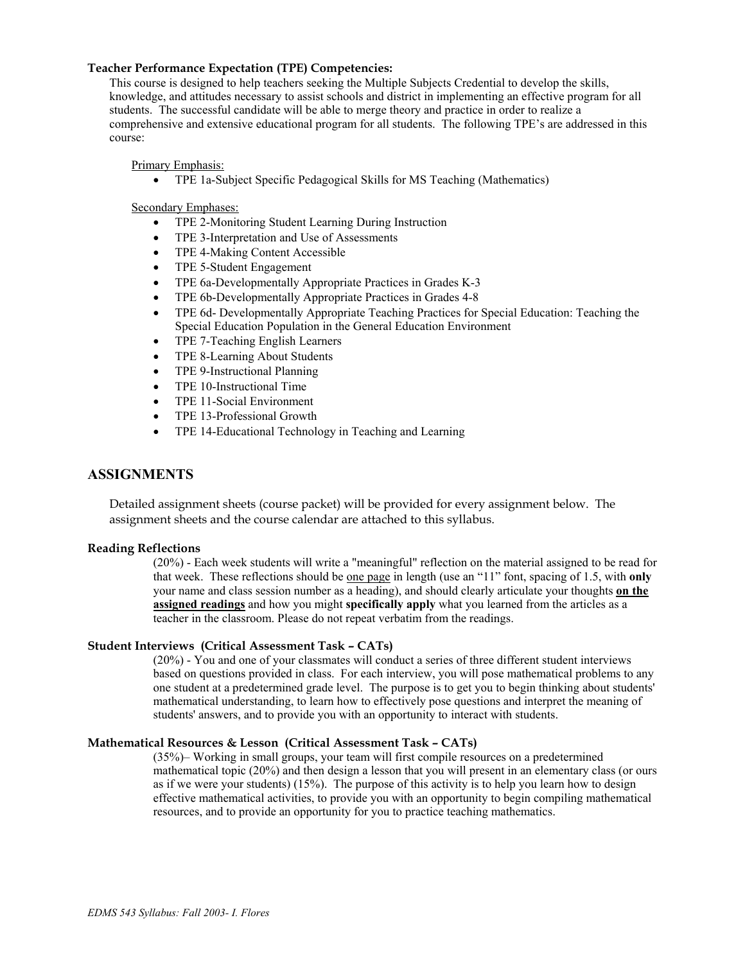#### **Teacher Performance Expectation (TPE) Competencies:**

This course is designed to help teachers seeking the Multiple Subjects Credential to develop the skills, knowledge, and attitudes necessary to assist schools and district in implementing an effective program for all students. The successful candidate will be able to merge theory and practice in order to realize a comprehensive and extensive educational program for all students. The following TPE's are addressed in this course:

Primary Emphasis:

• TPE 1a-Subject Specific Pedagogical Skills for MS Teaching (Mathematics)

Secondary Emphases:

- TPE 2-Monitoring Student Learning During Instruction
- TPE 3-Interpretation and Use of Assessments
- TPE 4-Making Content Accessible
- TPE 5-Student Engagement
- TPE 6a-Developmentally Appropriate Practices in Grades K-3
- TPE 6b-Developmentally Appropriate Practices in Grades 4-8
- TPE 6d- Developmentally Appropriate Teaching Practices for Special Education: Teaching the Special Education Population in the General Education Environment
- TPE 7-Teaching English Learners
- TPE 8-Learning About Students
- TPE 9-Instructional Planning
- TPE 10-Instructional Time
- TPE 11-Social Environment
- TPE 13-Professional Growth
- TPE 14-Educational Technology in Teaching and Learning

## **ASSIGNMENTS**

Detailed assignment sheets (course packet) will be provided for every assignment below. The assignment sheets and the course calendar are attached to this syllabus.

#### **Reading Reflections**

(20%) - Each week students will write a "meaningful" reflection on the material assigned to be read for that week. These reflections should be one page in length (use an "11" font, spacing of 1.5, with **only**  your name and class session number as a heading), and should clearly articulate your thoughts **on the assigned readings** and how you might **specifically apply** what you learned from the articles as a teacher in the classroom. Please do not repeat verbatim from the readings.

#### **Student Interviews (Critical Assessment Task – CATs)**

(20%) - You and one of your classmates will conduct a series of three different student interviews based on questions provided in class. For each interview, you will pose mathematical problems to any one student at a predetermined grade level. The purpose is to get you to begin thinking about students' mathematical understanding, to learn how to effectively pose questions and interpret the meaning of students' answers, and to provide you with an opportunity to interact with students.

#### **Mathematical Resources & Lesson (Critical Assessment Task – CATs)**

(35%)– Working in small groups, your team will first compile resources on a predetermined mathematical topic (20%) and then design a lesson that you will present in an elementary class (or ours as if we were your students) (15%). The purpose of this activity is to help you learn how to design effective mathematical activities, to provide you with an opportunity to begin compiling mathematical resources, and to provide an opportunity for you to practice teaching mathematics.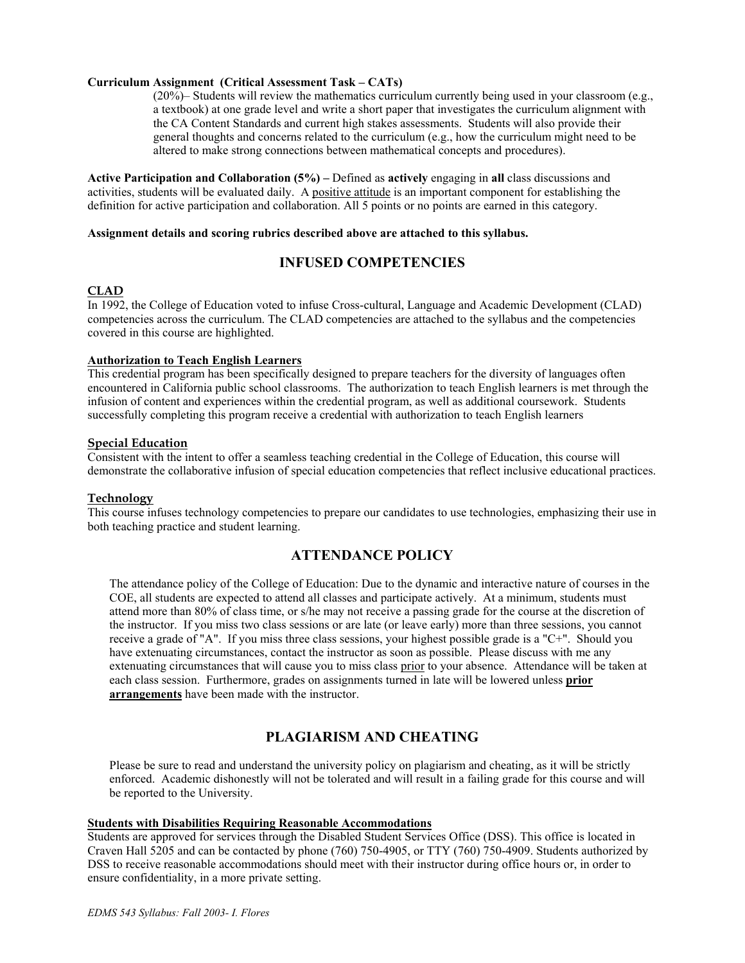#### **Curriculum Assignment (Critical Assessment Task – CATs)**

(20%)– Students will review the mathematics curriculum currently being used in your classroom (e.g., a textbook) at one grade level and write a short paper that investigates the curriculum alignment with the CA Content Standards and current high stakes assessments. Students will also provide their general thoughts and concerns related to the curriculum (e.g., how the curriculum might need to be altered to make strong connections between mathematical concepts and procedures).

**Active Participation and Collaboration (5%) –** Defined as **actively** engaging in **all** class discussions and activities, students will be evaluated daily. A positive attitude is an important component for establishing the definition for active participation and collaboration. All 5 points or no points are earned in this category.

#### **Assignment details and scoring rubrics described above are attached to this syllabus.**

## **INFUSED COMPETENCIES**

### **CLAD**

In 1992, the College of Education voted to infuse Cross-cultural, Language and Academic Development (CLAD) competencies across the curriculum. The CLAD competencies are attached to the syllabus and the competencies covered in this course are highlighted.

#### **Authorization to Teach English Learners**

This credential program has been specifically designed to prepare teachers for the diversity of languages often encountered in California public school classrooms. The authorization to teach English learners is met through the infusion of content and experiences within the credential program, as well as additional coursework. Students successfully completing this program receive a credential with authorization to teach English learners

#### **Special Education**

Consistent with the intent to offer a seamless teaching credential in the College of Education, this course will demonstrate the collaborative infusion of special education competencies that reflect inclusive educational practices.

#### **Technology**

This course infuses technology competencies to prepare our candidates to use technologies, emphasizing their use in both teaching practice and student learning.

## **ATTENDANCE POLICY**

The attendance policy of the College of Education: Due to the dynamic and interactive nature of courses in the COE, all students are expected to attend all classes and participate actively. At a minimum, students must attend more than 80% of class time, or s/he may not receive a passing grade for the course at the discretion of the instructor. If you miss two class sessions or are late (or leave early) more than three sessions, you cannot receive a grade of "A". If you miss three class sessions, your highest possible grade is a "C+". Should you have extenuating circumstances, contact the instructor as soon as possible. Please discuss with me any extenuating circumstances that will cause you to miss class prior to your absence. Attendance will be taken at each class session. Furthermore, grades on assignments turned in late will be lowered unless **prior arrangements** have been made with the instructor.

## **PLAGIARISM AND CHEATING**

Please be sure to read and understand the university policy on plagiarism and cheating, as it will be strictly enforced. Academic dishonestly will not be tolerated and will result in a failing grade for this course and will be reported to the University.

#### **Students with Disabilities Requiring Reasonable Accommodations**

Students are approved for services through the Disabled Student Services Office (DSS). This office is located in Craven Hall 5205 and can be contacted by phone (760) 750-4905, or TTY (760) 750-4909. Students authorized by DSS to receive reasonable accommodations should meet with their instructor during office hours or, in order to ensure confidentiality, in a more private setting.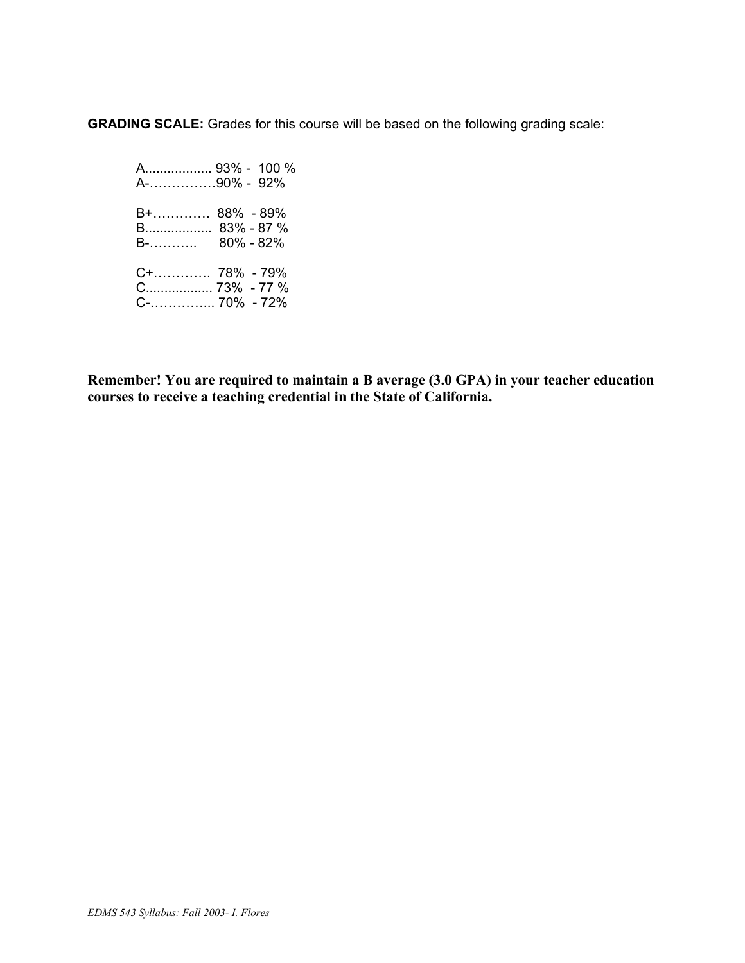**GRADING SCALE:** Grades for this course will be based on the following grading scale:

 A.................. 93% - 100 % A-……………90% - 92% B+…………. 88% - 89% B.................. 83% - 87 % B-……….. 80% - 82% C+…………. 78% - 79% C.................. 73% - 77 % C-…………... 70% - 72%

**Remember! You are required to maintain a B average (3.0 GPA) in your teacher education courses to receive a teaching credential in the State of California.**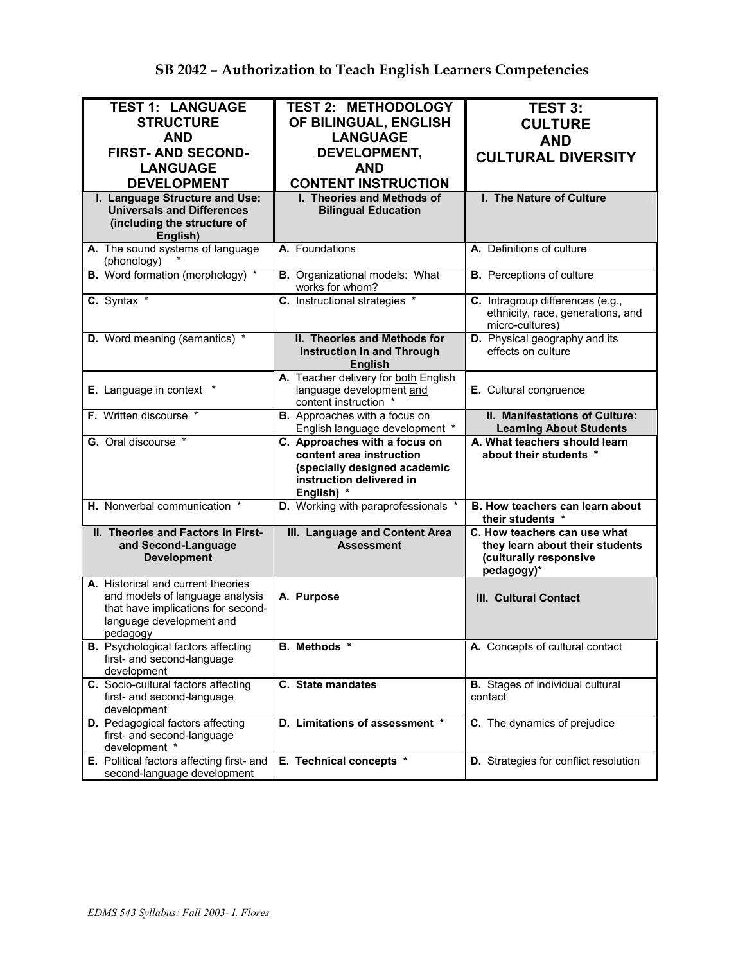| <b>TEST 1: LANGUAGE</b>                                               | <b>TEST 2: METHODOLOGY</b>                                       | <b>TEST 3:</b>                                            |
|-----------------------------------------------------------------------|------------------------------------------------------------------|-----------------------------------------------------------|
| <b>STRUCTURE</b>                                                      | OF BILINGUAL, ENGLISH                                            | <b>CULTURE</b>                                            |
| <b>AND</b>                                                            | <b>LANGUAGE</b>                                                  | <b>AND</b>                                                |
| <b>FIRST-AND SECOND-</b>                                              | DEVELOPMENT,                                                     | <b>CULTURAL DIVERSITY</b>                                 |
| <b>LANGUAGE</b>                                                       | <b>AND</b>                                                       |                                                           |
| <b>DEVELOPMENT</b>                                                    | <b>CONTENT INSTRUCTION</b>                                       |                                                           |
| I. Language Structure and Use:<br><b>Universals and Differences</b>   | I. Theories and Methods of<br><b>Bilingual Education</b>         | I. The Nature of Culture                                  |
| (including the structure of                                           |                                                                  |                                                           |
| English)                                                              |                                                                  |                                                           |
| A. The sound systems of language<br>(phonology)                       | A. Foundations                                                   | A. Definitions of culture                                 |
| <b>B.</b> Word formation (morphology) *                               | <b>B.</b> Organizational models: What<br>works for whom?         | <b>B.</b> Perceptions of culture                          |
| C. Syntax *                                                           | C. Instructional strategies *                                    | C. Intragroup differences (e.g.,                          |
|                                                                       |                                                                  | ethnicity, race, generations, and<br>micro-cultures)      |
| D. Word meaning (semantics) *                                         | II. Theories and Methods for                                     | D. Physical geography and its                             |
|                                                                       | <b>Instruction In and Through</b>                                | effects on culture                                        |
|                                                                       | <b>English</b>                                                   |                                                           |
| <b>E.</b> Language in context *                                       | A. Teacher delivery for both English<br>language development and | E. Cultural congruence                                    |
|                                                                       | content instruction *                                            |                                                           |
| F. Written discourse *                                                | <b>B.</b> Approaches with a focus on                             | II. Manifestations of Culture:                            |
|                                                                       | English language development *                                   | <b>Learning About Students</b>                            |
| G. Oral discourse *                                                   | C. Approaches with a focus on<br>content area instruction        | A. What teachers should learn<br>about their students *   |
|                                                                       | (specially designed academic                                     |                                                           |
|                                                                       | instruction delivered in                                         |                                                           |
|                                                                       | English) *                                                       |                                                           |
| H. Nonverbal communication *                                          | D. Working with paraprofessionals *                              | B. How teachers can learn about<br>their students *       |
| II. Theories and Factors in First-                                    | III. Language and Content Area<br><b>Assessment</b>              | C. How teachers can use what                              |
| and Second-Language<br><b>Development</b>                             |                                                                  | they learn about their students<br>(culturally responsive |
|                                                                       |                                                                  | pedagogy)*                                                |
| A. Historical and current theories                                    |                                                                  |                                                           |
| and models of language analysis<br>that have implications for second- | A. Purpose                                                       | III. Cultural Contact                                     |
| language development and                                              |                                                                  |                                                           |
| pedagogy                                                              |                                                                  |                                                           |
| <b>B.</b> Psychological factors affecting                             | B. Methods *                                                     | A. Concepts of cultural contact                           |
| first- and second-language                                            |                                                                  |                                                           |
| development<br>C. Socio-cultural factors affecting                    | C. State mandates                                                | <b>B.</b> Stages of individual cultural                   |
| first- and second-language                                            |                                                                  | contact                                                   |
|                                                                       |                                                                  |                                                           |
| development                                                           |                                                                  |                                                           |
| D. Pedagogical factors affecting                                      | D. Limitations of assessment *                                   | C. The dynamics of prejudice                              |
| first- and second-language                                            |                                                                  |                                                           |
| development *<br>E. Political factors affecting first- and            | E. Technical concepts *                                          | D. Strategies for conflict resolution                     |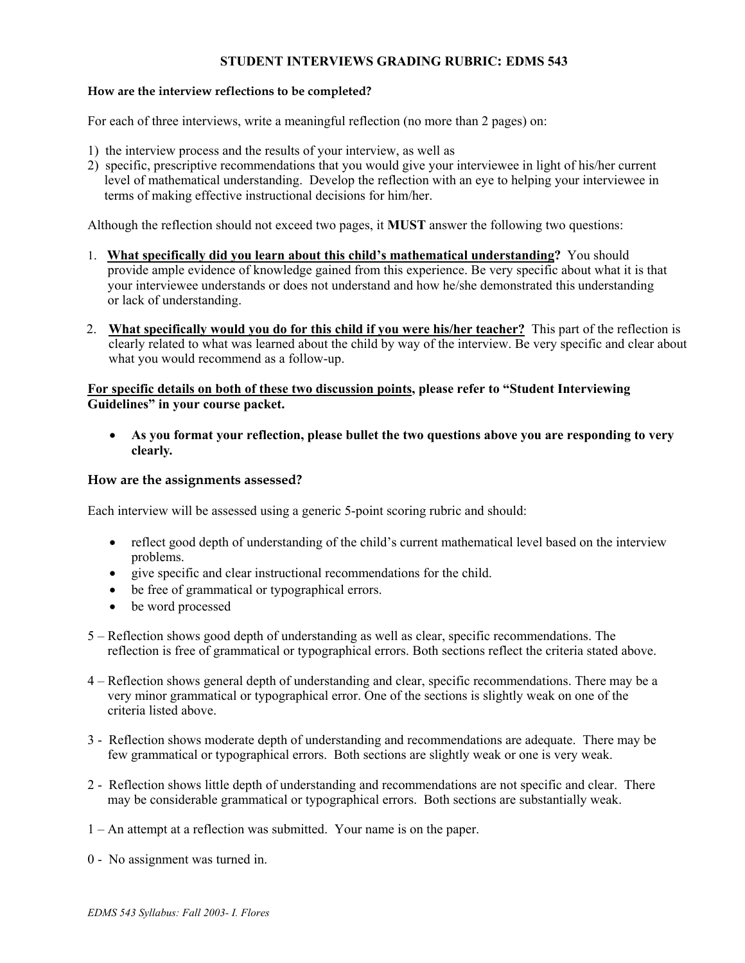## **STUDENT INTERVIEWS GRADING RUBRIC: EDMS 543**

## **How are the interview reflections to be completed?**

For each of three interviews, write a meaningful reflection (no more than 2 pages) on:

- 1) the interview process and the results of your interview, as well as
- 2) specific, prescriptive recommendations that you would give your interviewee in light of his/her current level of mathematical understanding. Develop the reflection with an eye to helping your interviewee in terms of making effective instructional decisions for him/her.

Although the reflection should not exceed two pages, it **MUST** answer the following two questions:

- 1. **What specifically did you learn about this child's mathematical understanding?** You should provide ample evidence of knowledge gained from this experience. Be very specific about what it is that your interviewee understands or does not understand and how he/she demonstrated this understanding or lack of understanding.
- 2. **What specifically would you do for this child if you were his/her teacher?** This part of the reflection is clearly related to what was learned about the child by way of the interview. Be very specific and clear about what you would recommend as a follow-up.

## **For specific details on both of these two discussion points, please refer to "Student Interviewing Guidelines" in your course packet.**

• **As you format your reflection, please bullet the two questions above you are responding to very clearly***.* 

### **How are the assignments assessed?**

Each interview will be assessed using a generic 5-point scoring rubric and should:

- reflect good depth of understanding of the child's current mathematical level based on the interview problems.
- give specific and clear instructional recommendations for the child.
- be free of grammatical or typographical errors.
- be word processed
- 5 Reflection shows good depth of understanding as well as clear, specific recommendations. The reflection is free of grammatical or typographical errors. Both sections reflect the criteria stated above.
- 4 Reflection shows general depth of understanding and clear, specific recommendations. There may be a very minor grammatical or typographical error. One of the sections is slightly weak on one of the criteria listed above.
- 3 Reflection shows moderate depth of understanding and recommendations are adequate. There may be few grammatical or typographical errors. Both sections are slightly weak or one is very weak.
- 2 Reflection shows little depth of understanding and recommendations are not specific and clear. There may be considerable grammatical or typographical errors. Both sections are substantially weak.
- 1 An attempt at a reflection was submitted. Your name is on the paper.
- 0 No assignment was turned in.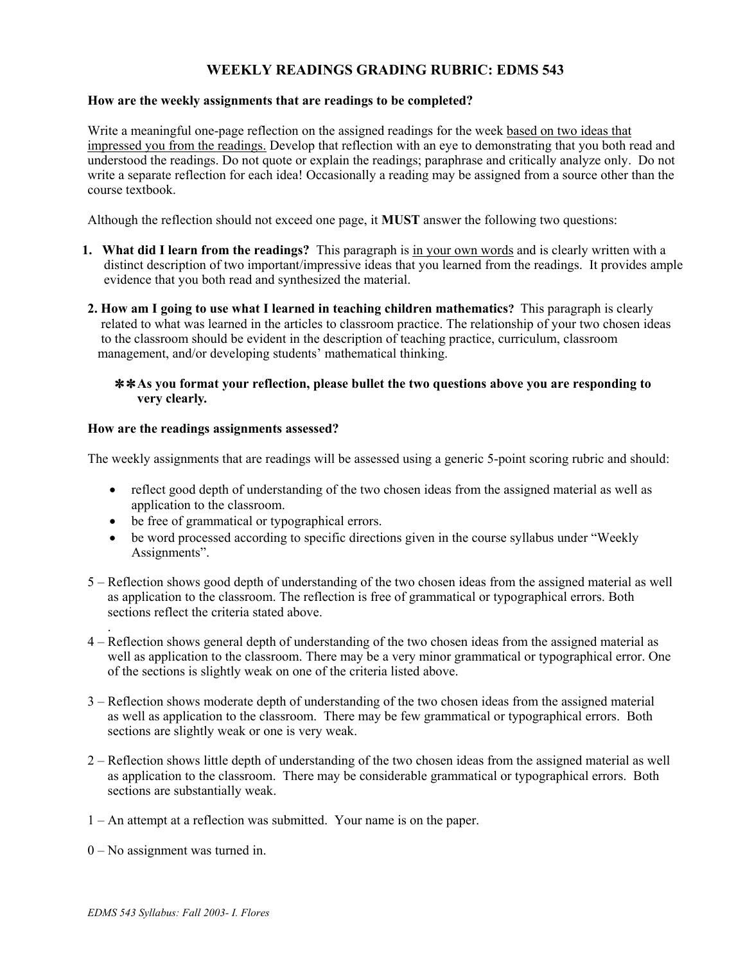# **WEEKLY READINGS GRADING RUBRIC: EDMS 543**

### **How are the weekly assignments that are readings to be completed?**

Write a meaningful one-page reflection on the assigned readings for the week based on two ideas that impressed you from the readings. Develop that reflection with an eye to demonstrating that you both read and understood the readings. Do not quote or explain the readings; paraphrase and critically analyze only. Do not write a separate reflection for each idea! Occasionally a reading may be assigned from a source other than the course textbook.

Although the reflection should not exceed one page, it **MUST** answer the following two questions:

- **1. What did I learn from the readings?** This paragraph is in your own words and is clearly written with a distinct description of two important/impressive ideas that you learned from the readings. It provides ample evidence that you both read and synthesized the material.
- **2. How am I going to use what I learned in teaching children mathematics?** This paragraph is clearly related to what was learned in the articles to classroom practice. The relationship of your two chosen ideas to the classroom should be evident in the description of teaching practice, curriculum, classroom management, and/or developing students' mathematical thinking.

### ✼ ✼ **As you format your reflection, please bullet the two questions above you are responding to very clearly***.*

### **How are the readings assignments assessed?**

The weekly assignments that are readings will be assessed using a generic 5-point scoring rubric and should:

- reflect good depth of understanding of the two chosen ideas from the assigned material as well as application to the classroom.
- be free of grammatical or typographical errors.
- be word processed according to specific directions given in the course syllabus under "Weekly" Assignments".
- 5 Reflection shows good depth of understanding of the two chosen ideas from the assigned material as well as application to the classroom. The reflection is free of grammatical or typographical errors. Both sections reflect the criteria stated above.
- . 4 – Reflection shows general depth of understanding of the two chosen ideas from the assigned material as well as application to the classroom. There may be a very minor grammatical or typographical error. One of the sections is slightly weak on one of the criteria listed above.
- 3 Reflection shows moderate depth of understanding of the two chosen ideas from the assigned material as well as application to the classroom. There may be few grammatical or typographical errors. Both sections are slightly weak or one is very weak.
- 2 Reflection shows little depth of understanding of the two chosen ideas from the assigned material as well as application to the classroom. There may be considerable grammatical or typographical errors. Both sections are substantially weak.
- 1 An attempt at a reflection was submitted. Your name is on the paper.
- 0 No assignment was turned in.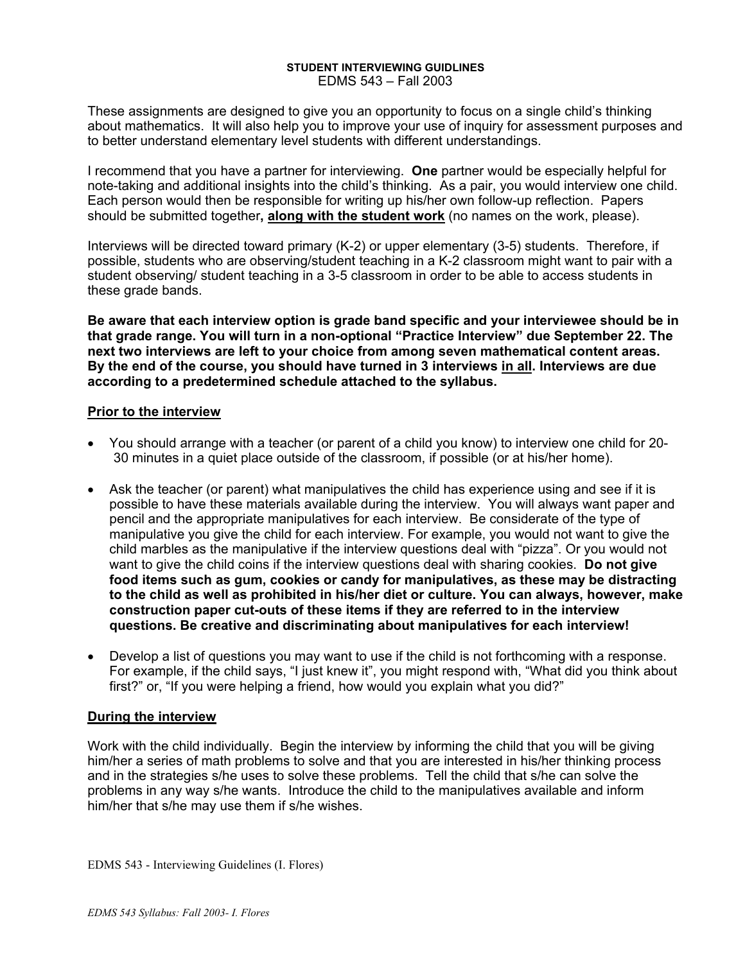#### **STUDENT INTERVIEWING GUIDLINES**  EDMS 543 – Fall 2003

These assignments are designed to give you an opportunity to focus on a single child's thinking about mathematics. It will also help you to improve your use of inquiry for assessment purposes and to better understand elementary level students with different understandings.

I recommend that you have a partner for interviewing. **One** partner would be especially helpful for note-taking and additional insights into the child's thinking. As a pair, you would interview one child. Each person would then be responsible for writing up his/her own follow-up reflection. Papers should be submitted together**, along with the student work** (no names on the work, please).

Interviews will be directed toward primary (K-2) or upper elementary (3-5) students. Therefore, if possible, students who are observing/student teaching in a K-2 classroom might want to pair with a student observing/ student teaching in a 3-5 classroom in order to be able to access students in these grade bands.

**Be aware that each interview option is grade band specific and your interviewee should be in that grade range. You will turn in a non-optional "Practice Interview" due September 22. The next two interviews are left to your choice from among seven mathematical content areas. By the end of the course, you should have turned in 3 interviews in all. Interviews are due according to a predetermined schedule attached to the syllabus.**

## **Prior to the interview**

- You should arrange with a teacher (or parent of a child you know) to interview one child for 20- 30 minutes in a quiet place outside of the classroom, if possible (or at his/her home).
- Ask the teacher (or parent) what manipulatives the child has experience using and see if it is possible to have these materials available during the interview. You will always want paper and pencil and the appropriate manipulatives for each interview. Be considerate of the type of manipulative you give the child for each interview. For example, you would not want to give the child marbles as the manipulative if the interview questions deal with "pizza". Or you would not want to give the child coins if the interview questions deal with sharing cookies. **Do not give food items such as gum, cookies or candy for manipulatives, as these may be distracting to the child as well as prohibited in his/her diet or culture. You can always, however, make construction paper cut-outs of these items if they are referred to in the interview questions. Be creative and discriminating about manipulatives for each interview!**
- Develop a list of questions you may want to use if the child is not forthcoming with a response. For example, if the child says, "I just knew it", you might respond with, "What did you think about first?" or, "If you were helping a friend, how would you explain what you did?"

## **During the interview**

Work with the child individually. Begin the interview by informing the child that you will be giving him/her a series of math problems to solve and that you are interested in his/her thinking process and in the strategies s/he uses to solve these problems. Tell the child that s/he can solve the problems in any way s/he wants. Introduce the child to the manipulatives available and inform him/her that s/he may use them if s/he wishes.

EDMS 543 - Interviewing Guidelines (I. Flores)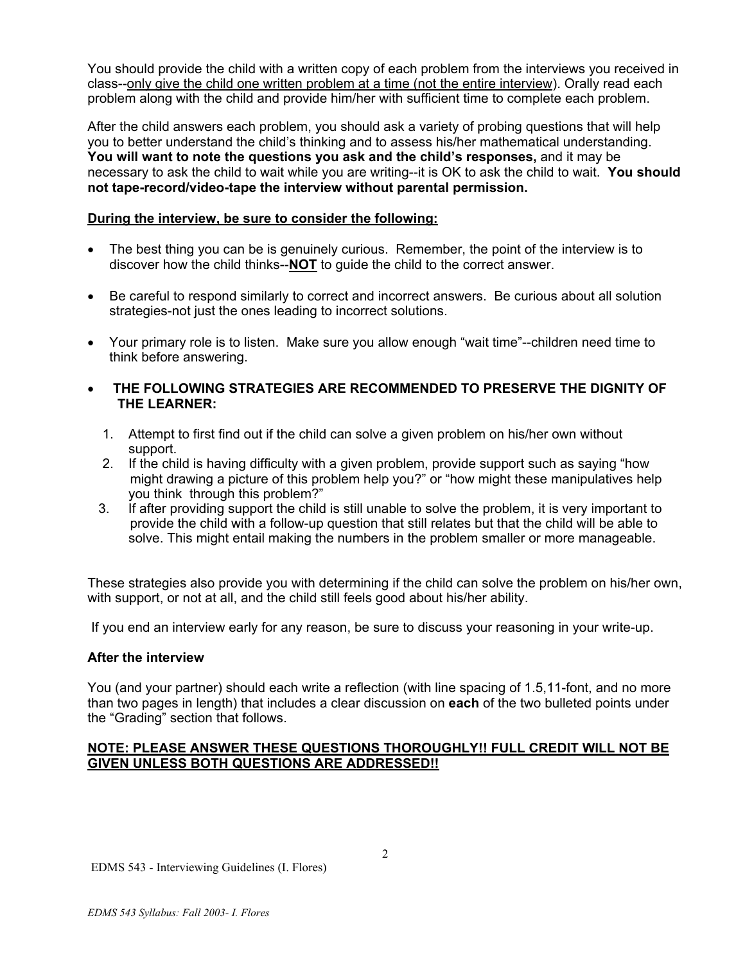You should provide the child with a written copy of each problem from the interviews you received in class--only give the child one written problem at a time (not the entire interview). Orally read each problem along with the child and provide him/her with sufficient time to complete each problem.

After the child answers each problem, you should ask a variety of probing questions that will help you to better understand the child's thinking and to assess his/her mathematical understanding. **You will want to note the questions you ask and the child's responses,** and it may be necessary to ask the child to wait while you are writing--it is OK to ask the child to wait. **You should not tape-record/video-tape the interview without parental permission.** 

## **During the interview, be sure to consider the following:**

- The best thing you can be is genuinely curious. Remember, the point of the interview is to discover how the child thinks--**NOT** to guide the child to the correct answer.
- Be careful to respond similarly to correct and incorrect answers. Be curious about all solution strategies-not just the ones leading to incorrect solutions.
- Your primary role is to listen. Make sure you allow enough "wait time"--children need time to think before answering.
- • **THE FOLLOWING STRATEGIES ARE RECOMMENDED TO PRESERVE THE DIGNITY OF THE LEARNER:** 
	- 1. Attempt to first find out if the child can solve a given problem on his/her own without support.
	- 2. If the child is having difficulty with a given problem, provide support such as saying "how might drawing a picture of this problem help you?" or "how might these manipulatives help you think through this problem?"
	- 3. If after providing support the child is still unable to solve the problem, it is very important to provide the child with a follow-up question that still relates but that the child will be able to solve. This might entail making the numbers in the problem smaller or more manageable.

These strategies also provide you with determining if the child can solve the problem on his/her own, with support, or not at all, and the child still feels good about his/her ability.

If you end an interview early for any reason, be sure to discuss your reasoning in your write-up.

## **After the interview**

You (and your partner) should each write a reflection (with line spacing of 1.5,11-font, and no more than two pages in length) that includes a clear discussion on **each** of the two bulleted points under the "Grading" section that follows.

## **NOTE: PLEASE ANSWER THESE QUESTIONS THOROUGHLY!! FULL CREDIT WILL NOT BE GIVEN UNLESS BOTH QUESTIONS ARE ADDRESSED!!**

EDMS 543 - Interviewing Guidelines (I. Flores)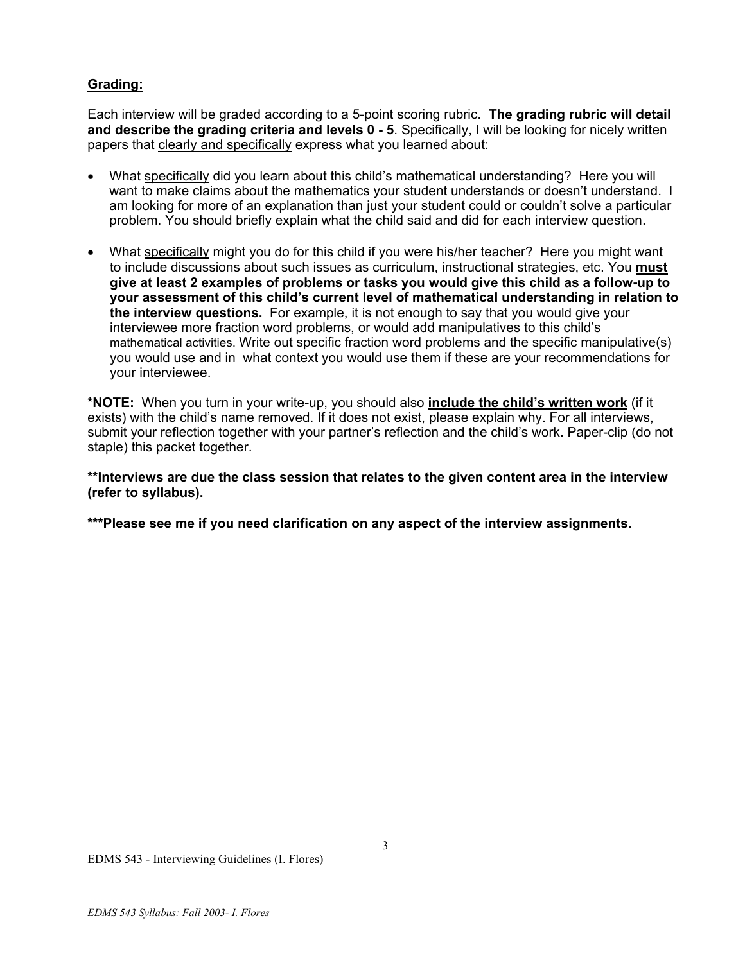# **Grading:**

Each interview will be graded according to a 5-point scoring rubric. **The grading rubric will detail and describe the grading criteria and levels 0 - 5**. Specifically, I will be looking for nicely written papers that clearly and specifically express what you learned about:

- What specifically did you learn about this child's mathematical understanding? Here you will want to make claims about the mathematics your student understands or doesn't understand. I am looking for more of an explanation than just your student could or couldn't solve a particular problem. You should briefly explain what the child said and did for each interview question.
- What specifically might you do for this child if you were his/her teacher? Here you might want to include discussions about such issues as curriculum, instructional strategies, etc. You **must give at least 2 examples of problems or tasks you would give this child as a follow-up to your assessment of this child's current level of mathematical understanding in relation to the interview questions.** For example, it is not enough to say that you would give your interviewee more fraction word problems, or would add manipulatives to this child's mathematical activities. Write out specific fraction word problems and the specific manipulative(s) you would use and in what context you would use them if these are your recommendations for your interviewee.

**\*NOTE:** When you turn in your write-up, you should also **include the child's written work** (if it exists) with the child's name removed. If it does not exist, please explain why. For all interviews, submit your reflection together with your partner's reflection and the child's work. Paper-clip (do not staple) this packet together.

**\*\*Interviews are due the class session that relates to the given content area in the interview (refer to syllabus).** 

**\*\*\*Please see me if you need clarification on any aspect of the interview assignments.**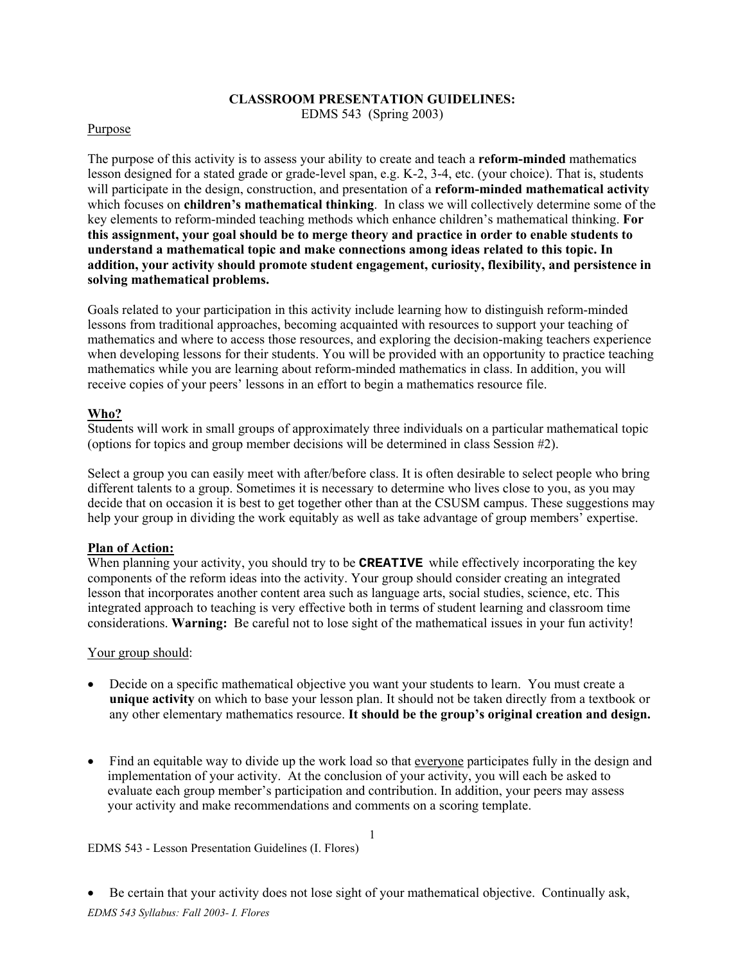## **CLASSROOM PRESENTATION GUIDELINES:** EDMS 543 (Spring 2003)

#### Purpose

The purpose of this activity is to assess your ability to create and teach a **reform-minded** mathematics lesson designed for a stated grade or grade-level span, e.g. K-2, 3-4, etc. (your choice). That is, students will participate in the design, construction, and presentation of a **reform-minded mathematical activity** which focuses on **children's mathematical thinking**. In class we will collectively determine some of the key elements to reform-minded teaching methods which enhance children's mathematical thinking. **For this assignment, your goal should be to merge theory and practice in order to enable students to understand a mathematical topic and make connections among ideas related to this topic. In addition, your activity should promote student engagement, curiosity, flexibility, and persistence in solving mathematical problems.** 

Goals related to your participation in this activity include learning how to distinguish reform-minded lessons from traditional approaches, becoming acquainted with resources to support your teaching of mathematics and where to access those resources, and exploring the decision-making teachers experience when developing lessons for their students. You will be provided with an opportunity to practice teaching mathematics while you are learning about reform-minded mathematics in class. In addition, you will receive copies of your peers' lessons in an effort to begin a mathematics resource file.

## **Who?**

Students will work in small groups of approximately three individuals on a particular mathematical topic (options for topics and group member decisions will be determined in class Session #2).

Select a group you can easily meet with after/before class. It is often desirable to select people who bring different talents to a group. Sometimes it is necessary to determine who lives close to you, as you may decide that on occasion it is best to get together other than at the CSUSM campus. These suggestions may help your group in dividing the work equitably as well as take advantage of group members' expertise.

## **Plan of Action:**

When planning your activity, you should try to be **CREATIVE** while effectively incorporating the key components of the reform ideas into the activity. Your group should consider creating an integrated lesson that incorporates another content area such as language arts, social studies, science, etc. This integrated approach to teaching is very effective both in terms of student learning and classroom time considerations. **Warning:** Be careful not to lose sight of the mathematical issues in your fun activity!

#### Your group should:

- Decide on a specific mathematical objective you want your students to learn. You must create a **unique activity** on which to base your lesson plan. It should not be taken directly from a textbook or any other elementary mathematics resource. **It should be the group's original creation and design.**
- Find an equitable way to divide up the work load so that everyone participates fully in the design and implementation of your activity. At the conclusion of your activity, you will each be asked to evaluate each group member's participation and contribution. In addition, your peers may assess your activity and make recommendations and comments on a scoring template.

1

#### EDMS 543 - Lesson Presentation Guidelines (I. Flores)

*EDMS 543 Syllabus: Fall 2003- I. Flores*  • Be certain that your activity does not lose sight of your mathematical objective. Continually ask,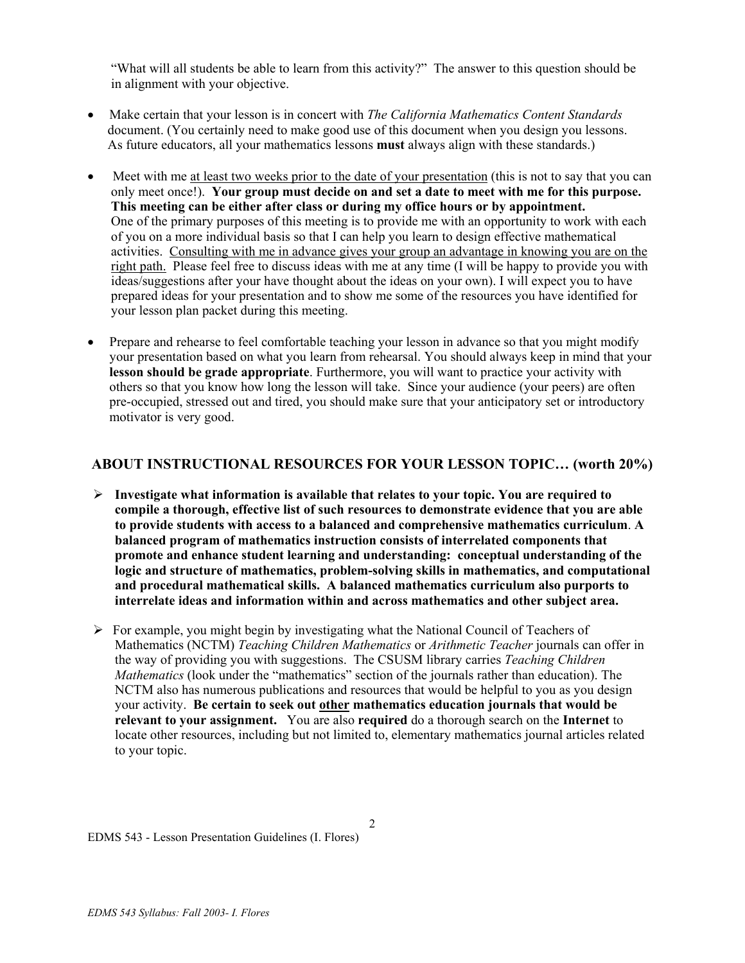"What will all students be able to learn from this activity?" The answer to this question should be in alignment with your objective.

- Make certain that your lesson is in concert with *The California Mathematics Content Standards* document. (You certainly need to make good use of this document when you design you lessons. As future educators, all your mathematics lessons **must** always align with these standards.)
- Meet with me at least two weeks prior to the date of your presentation (this is not to say that you can only meet once!). **Your group must decide on and set a date to meet with me for this purpose. This meeting can be either after class or during my office hours or by appointment.** One of the primary purposes of this meeting is to provide me with an opportunity to work with each of you on a more individual basis so that I can help you learn to design effective mathematical activities. Consulting with me in advance gives your group an advantage in knowing you are on the right path. Please feel free to discuss ideas with me at any time (I will be happy to provide you with ideas/suggestions after your have thought about the ideas on your own). I will expect you to have prepared ideas for your presentation and to show me some of the resources you have identified for your lesson plan packet during this meeting.
- Prepare and rehearse to feel comfortable teaching your lesson in advance so that you might modify your presentation based on what you learn from rehearsal. You should always keep in mind that your **lesson should be grade appropriate**. Furthermore, you will want to practice your activity with others so that you know how long the lesson will take. Since your audience (your peers) are often pre-occupied, stressed out and tired, you should make sure that your anticipatory set or introductory motivator is very good.

## **ABOUT INSTRUCTIONAL RESOURCES FOR YOUR LESSON TOPIC… (worth 20%)**

- ¾ **Investigate what information is available that relates to your topic. You are required to compile a thorough, effective list of such resources to demonstrate evidence that you are able to provide students with access to a balanced and comprehensive mathematics curriculum**. **A balanced program of mathematics instruction consists of interrelated components that promote and enhance student learning and understanding: conceptual understanding of the logic and structure of mathematics, problem-solving skills in mathematics, and computational and procedural mathematical skills. A balanced mathematics curriculum also purports to interrelate ideas and information within and across mathematics and other subject area.**
- $\triangleright$  For example, you might begin by investigating what the National Council of Teachers of Mathematics (NCTM) *Teaching Children Mathematics* or *Arithmetic Teacher* journals can offer in the way of providing you with suggestions. The CSUSM library carries *Teaching Children Mathematics* (look under the "mathematics" section of the journals rather than education). The NCTM also has numerous publications and resources that would be helpful to you as you design your activity. **Be certain to seek out other mathematics education journals that would be relevant to your assignment.** You are also **required** do a thorough search on the **Internet** to locate other resources, including but not limited to, elementary mathematics journal articles related to your topic.

2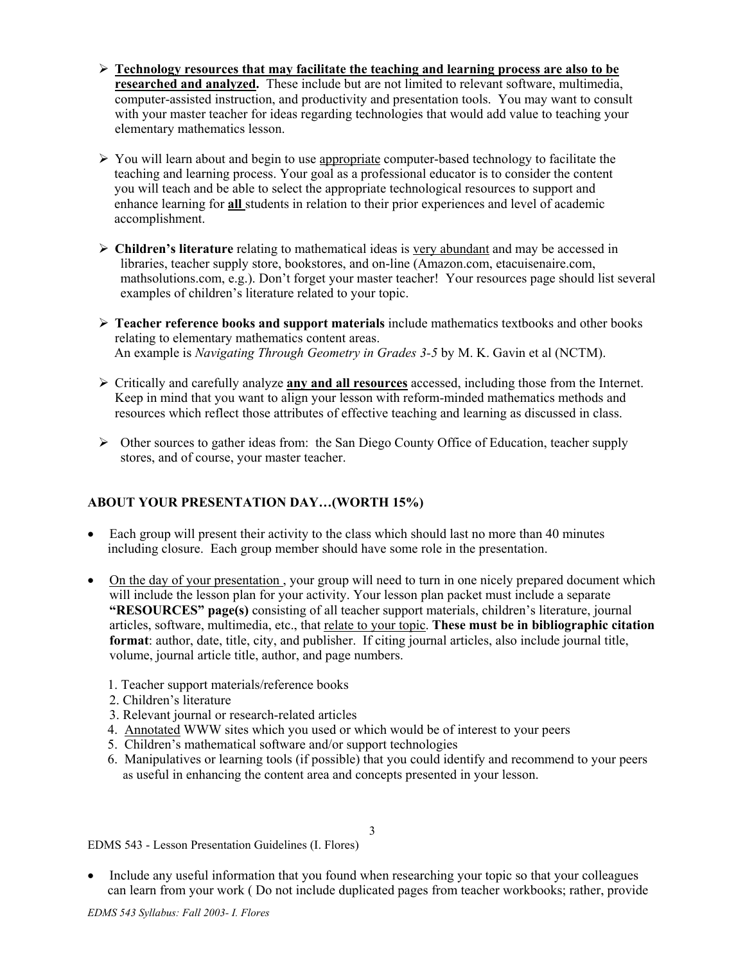- ¾ **Technology resources that may facilitate the teaching and learning process are also to be researched and analyzed.** These include but are not limited to relevant software, multimedia, computer-assisted instruction, and productivity and presentation tools. You may want to consult with your master teacher for ideas regarding technologies that would add value to teaching your elementary mathematics lesson.
- $\triangleright$  You will learn about and begin to use appropriate computer-based technology to facilitate the teaching and learning process. Your goal as a professional educator is to consider the content you will teach and be able to select the appropriate technological resources to support and enhance learning for **all** students in relation to their prior experiences and level of academic accomplishment.
- ¾ **Children's literature** relating to mathematical ideas is very abundant and may be accessed in libraries, teacher supply store, bookstores, and on-line (Amazon.com, etacuisenaire.com, mathsolutions.com, e.g.). Don't forget your master teacher! Your resources page should list several examples of children's literature related to your topic.
- ¾ **Teacher reference books and support materials** include mathematics textbooks and other books relating to elementary mathematics content areas. An example is *Navigating Through Geometry in Grades 3-5* by M. K. Gavin et al (NCTM).
- ¾ Critically and carefully analyze **any and all resources** accessed, including those from the Internet. Keep in mind that you want to align your lesson with reform-minded mathematics methods and resources which reflect those attributes of effective teaching and learning as discussed in class.
- $\triangleright$  Other sources to gather ideas from: the San Diego County Office of Education, teacher supply stores, and of course, your master teacher.

## **ABOUT YOUR PRESENTATION DAY…(WORTH 15%)**

- Each group will present their activity to the class which should last no more than 40 minutes including closure.Each group member should have some role in the presentation.
- On the day of your presentation, your group will need to turn in one nicely prepared document which will include the lesson plan for your activity. Your lesson plan packet must include a separate **"RESOURCES" page(s)** consisting of all teacher support materials, children's literature, journal articles, software, multimedia, etc., that relate to your topic. **These must be in bibliographic citation format**: author, date, title, city, and publisher. If citing journal articles, also include journal title, volume, journal article title, author, and page numbers.
	- 1. Teacher support materials/reference books
	- 2. Children's literature
	- 3. Relevant journal or research-related articles
	- 4. Annotated WWW sites which you used or which would be of interest to your peers
	- 5. Children's mathematical software and/or support technologies
	- 6. Manipulatives or learning tools (if possible) that you could identify and recommend to your peers as useful in enhancing the content area and concepts presented in your lesson.

EDMS 543 - Lesson Presentation Guidelines (I. Flores)

• Include any useful information that you found when researching your topic so that your colleagues can learn from your work ( Do not include duplicated pages from teacher workbooks; rather, provide

3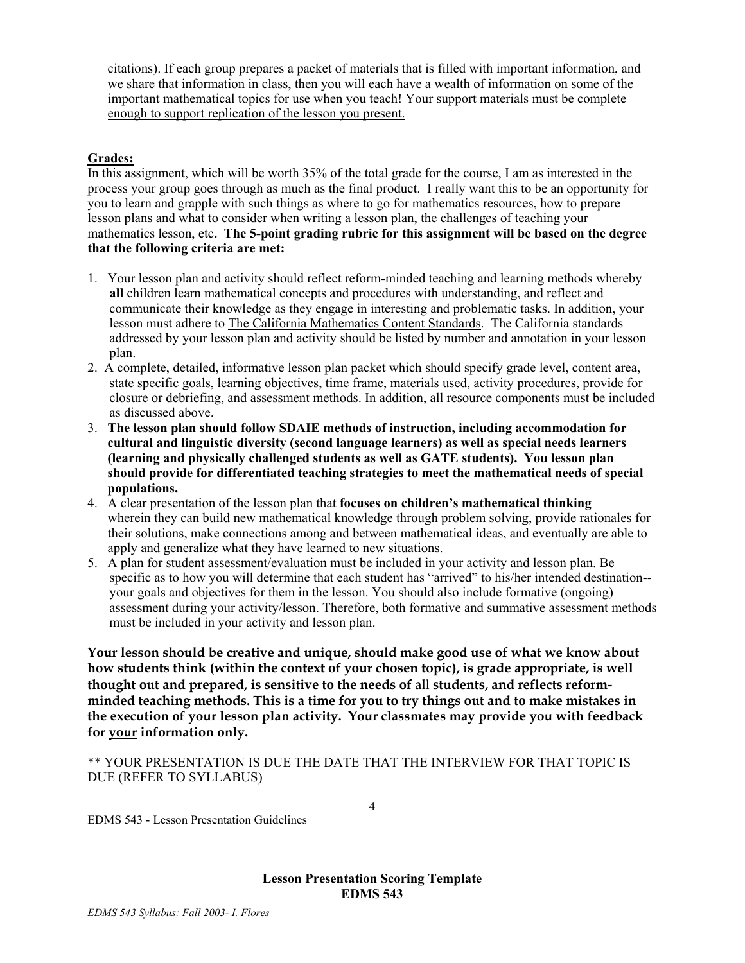citations). If each group prepares a packet of materials that is filled with important information, and we share that information in class, then you will each have a wealth of information on some of the important mathematical topics for use when you teach! Your support materials must be complete enough to support replication of the lesson you present.

## **Grades:**

In this assignment, which will be worth 35% of the total grade for the course, I am as interested in the process your group goes through as much as the final product. I really want this to be an opportunity for you to learn and grapple with such things as where to go for mathematics resources, how to prepare lesson plans and what to consider when writing a lesson plan, the challenges of teaching your mathematics lesson, etc**. The 5-point grading rubric for this assignment will be based on the degree that the following criteria are met:** 

- 1. Your lesson plan and activity should reflect reform-minded teaching and learning methods whereby **all** children learn mathematical concepts and procedures with understanding, and reflect and communicate their knowledge as they engage in interesting and problematic tasks. In addition, your lesson must adhere to The California Mathematics Content Standards. The California standards addressed by your lesson plan and activity should be listed by number and annotation in your lesson plan.
- 2. A complete, detailed, informative lesson plan packet which should specify grade level, content area, state specific goals, learning objectives, time frame, materials used, activity procedures, provide for closure or debriefing, and assessment methods. In addition, all resource components must be included as discussed above.
- 3. **The lesson plan should follow SDAIE methods of instruction, including accommodation for cultural and linguistic diversity (second language learners) as well as special needs learners (learning and physically challenged students as well as GATE students). You lesson plan should provide for differentiated teaching strategies to meet the mathematical needs of special populations.**
- 4. A clear presentation of the lesson plan that **focuses on children's mathematical thinking**  wherein they can build new mathematical knowledge through problem solving, provide rationales for their solutions, make connections among and between mathematical ideas, and eventually are able to apply and generalize what they have learned to new situations.
- 5. A plan for student assessment/evaluation must be included in your activity and lesson plan. Be specific as to how you will determine that each student has "arrived" to his/her intended destination- your goals and objectives for them in the lesson. You should also include formative (ongoing) assessment during your activity/lesson. Therefore, both formative and summative assessment methods must be included in your activity and lesson plan.

**Your lesson should be creative and unique, should make good use of what we know about how students think (within the context of your chosen topic), is grade appropriate, is well thought out and prepared, is sensitive to the needs of** all **students, and reflects reformminded teaching methods. This is a time for you to try things out and to make mistakes in the execution of your lesson plan activity. Your classmates may provide you with feedback for your information only.** 

\*\* YOUR PRESENTATION IS DUE THE DATE THAT THE INTERVIEW FOR THAT TOPIC IS DUE (REFER TO SYLLABUS)

EDMS 543 - Lesson Presentation Guidelines

**Lesson Presentation Scoring Template EDMS 543** 

4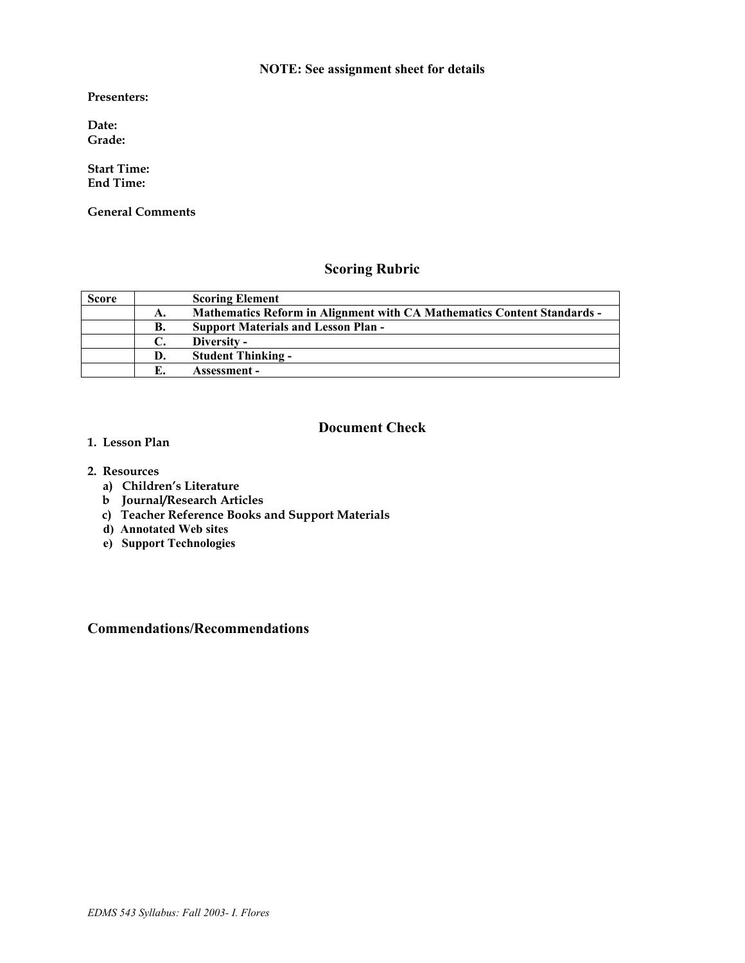## **NOTE: See assignment sheet for details**

**Presenters:** 

**Date: Grade:** 

**Start Time: End Time:** 

**General Comments** 

# **Scoring Rubric**

| <b>Score</b> |    | <b>Scoring Element</b>                                                         |
|--------------|----|--------------------------------------------------------------------------------|
|              | А. | <b>Mathematics Reform in Alignment with CA Mathematics Content Standards -</b> |
|              | В. | <b>Support Materials and Lesson Plan -</b>                                     |
|              |    | Diversity -                                                                    |
|              | D. | <b>Student Thinking -</b>                                                      |
|              |    | Assessment –                                                                   |

## **Document Check**

- **1. Lesson Plan**
- **2. Resources** 
	- **a) Children's Literature**
	- **b Journal/Research Articles**
	- **c) Teacher Reference Books and Support Materials**
	- **d) Annotated Web sites**
	- **e) Support Technologies**

## **Commendations/Recommendations**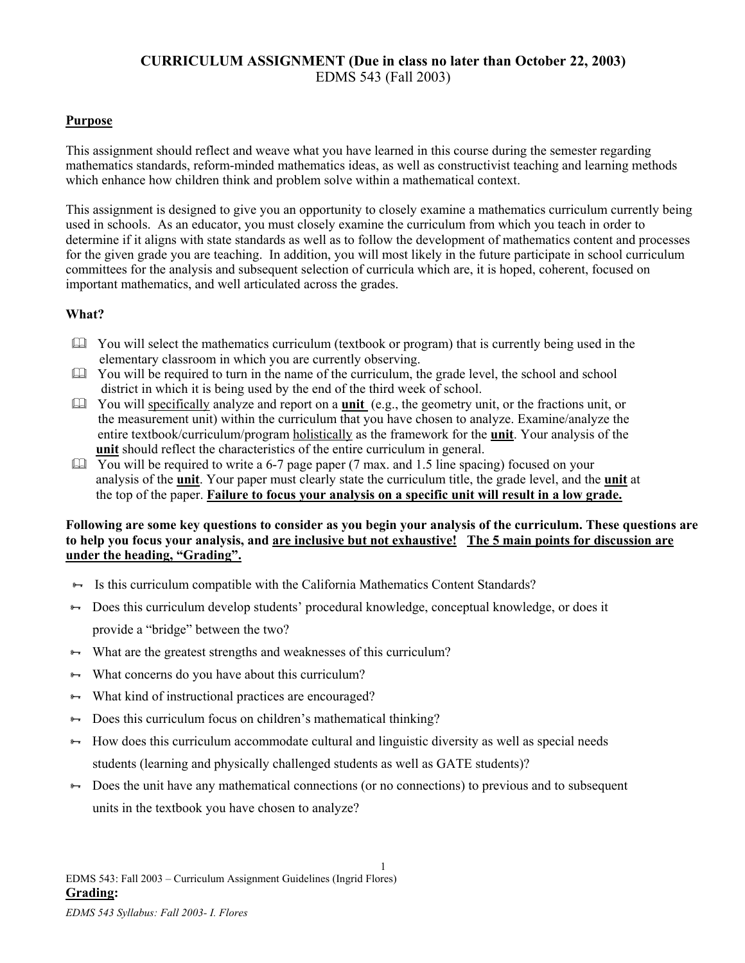# **CURRICULUM ASSIGNMENT (Due in class no later than October 22, 2003)**  EDMS 543 (Fall 2003)

## **Purpose**

This assignment should reflect and weave what you have learned in this course during the semester regarding mathematics standards, reform-minded mathematics ideas, as well as constructivist teaching and learning methods which enhance how children think and problem solve within a mathematical context.

This assignment is designed to give you an opportunity to closely examine a mathematics curriculum currently being used in schools. As an educator, you must closely examine the curriculum from which you teach in order to determine if it aligns with state standards as well as to follow the development of mathematics content and processes for the given grade you are teaching. In addition, you will most likely in the future participate in school curriculum committees for the analysis and subsequent selection of curricula which are, it is hoped, coherent, focused on important mathematics, and well articulated across the grades.

## **What?**

- You will select the mathematics curriculum (textbook or program) that is currently being used in the elementary classroom in which you are currently observing.
- $\Box$  You will be required to turn in the name of the curriculum, the grade level, the school and school district in which it is being used by the end of the third week of school.
- You will specifically analyze and report on a **unit** (e.g., the geometry unit, or the fractions unit, or the measurement unit) within the curriculum that you have chosen to analyze. Examine/analyze the entire textbook/curriculum/program holistically as the framework for the **unit**. Your analysis of the **unit** should reflect the characteristics of the entire curriculum in general.
- $\Box$  You will be required to write a 6-7 page paper (7 max. and 1.5 line spacing) focused on your analysis of the **unit**. Your paper must clearly state the curriculum title, the grade level, and the **unit** at the top of the paper. **Failure to focus your analysis on a specific unit will result in a low grade.**

## **Following are some key questions to consider as you begin your analysis of the curriculum. These questions are to help you focus your analysis, and are inclusive but not exhaustive! The 5 main points for discussion are under the heading, "Grading".**

- Is this curriculum compatible with the California Mathematics Content Standards?
- <sup>8→</sup> Does this curriculum develop students' procedural knowledge, conceptual knowledge, or does it provide a "bridge" between the two?
- $\leftrightarrow$  What are the greatest strengths and weaknesses of this curriculum?
- $\rightarrow$  What concerns do you have about this curriculum?
- <sup>↓→</sup> What kind of instructional practices are encouraged?
- $\rightarrow$  Does this curriculum focus on children's mathematical thinking?
- $\leftrightarrow$  How does this curriculum accommodate cultural and linguistic diversity as well as special needs students (learning and physically challenged students as well as GATE students)?
- $\rightarrow$  Does the unit have any mathematical connections (or no connections) to previous and to subsequent units in the textbook you have chosen to analyze?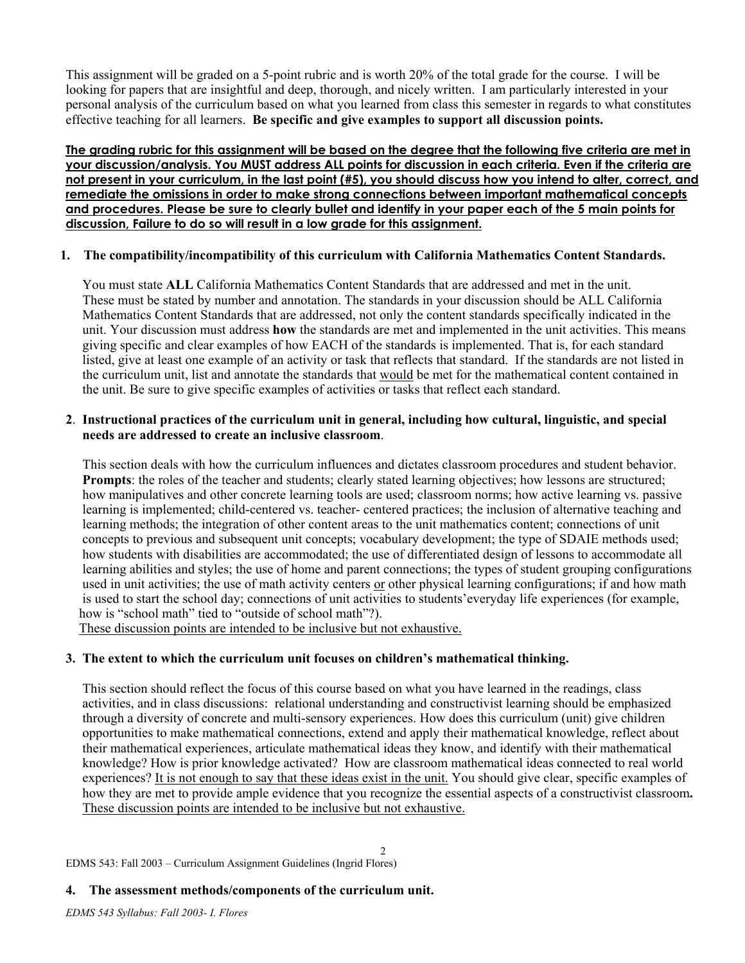This assignment will be graded on a 5-point rubric and is worth 20% of the total grade for the course. I will be looking for papers that are insightful and deep, thorough, and nicely written. I am particularly interested in your personal analysis of the curriculum based on what you learned from class this semester in regards to what constitutes effective teaching for all learners. **Be specific and give examples to support all discussion points.** 

**The grading rubric for this assignment will be based on the degree that the following five criteria are met in your discussion/analysis. You MUST address ALL points for discussion in each criteria. Even if the criteria are not present in your curriculum, in the last point (#5), you should discuss how you intend to alter, correct, and remediate the omissions in order to make strong connections between important mathematical concepts and procedures. Please be sure to clearly bullet and identify in your paper each of the 5 main points for discussion, Failure to do so will result in a low grade for this assignment.**

## **1. The compatibility/incompatibility of this curriculum with California Mathematics Content Standards.**

 You must state **ALL** California Mathematics Content Standards that are addressed and met in the unit. These must be stated by number and annotation. The standards in your discussion should be ALL California Mathematics Content Standards that are addressed, not only the content standards specifically indicated in the unit. Your discussion must address **how** the standards are met and implemented in the unit activities. This means giving specific and clear examples of how EACH of the standards is implemented. That is, for each standard listed, give at least one example of an activity or task that reflects that standard. If the standards are not listed in the curriculum unit, list and annotate the standards that would be met for the mathematical content contained in the unit. Be sure to give specific examples of activities or tasks that reflect each standard.

## **2**. **Instructional practices of the curriculum unit in general, including how cultural, linguistic, and special needs are addressed to create an inclusive classroom**.

 This section deals with how the curriculum influences and dictates classroom procedures and student behavior. **Prompts**: the roles of the teacher and students; clearly stated learning objectives; how lessons are structured; how manipulatives and other concrete learning tools are used; classroom norms; how active learning vs. passive learning is implemented; child-centered vs. teacher- centered practices; the inclusion of alternative teaching and learning methods; the integration of other content areas to the unit mathematics content; connections of unit concepts to previous and subsequent unit concepts; vocabulary development; the type of SDAIE methods used; how students with disabilities are accommodated; the use of differentiated design of lessons to accommodate all learning abilities and styles; the use of home and parent connections; the types of student grouping configurations used in unit activities; the use of math activity centers or other physical learning configurations; if and how math is used to start the school day; connections of unit activities to students'everyday life experiences (for example, how is "school math" tied to "outside of school math"?).

These discussion points are intended to be inclusive but not exhaustive.

## **3. The extent to which the curriculum unit focuses on children's mathematical thinking.**

 This section should reflect the focus of this course based on what you have learned in the readings, class activities, and in class discussions: relational understanding and constructivist learning should be emphasized through a diversity of concrete and multi-sensory experiences. How does this curriculum (unit) give children opportunities to make mathematical connections, extend and apply their mathematical knowledge, reflect about their mathematical experiences, articulate mathematical ideas they know, and identify with their mathematical knowledge? How is prior knowledge activated? How are classroom mathematical ideas connected to real world experiences? It is not enough to say that these ideas exist in the unit. You should give clear, specific examples of how they are met to provide ample evidence that you recognize the essential aspects of a constructivist classroom**.**  These discussion points are intended to be inclusive but not exhaustive.

2

EDMS 543: Fall 2003 – Curriculum Assignment Guidelines (Ingrid Flores)

## **4. The assessment methods/components of the curriculum unit.**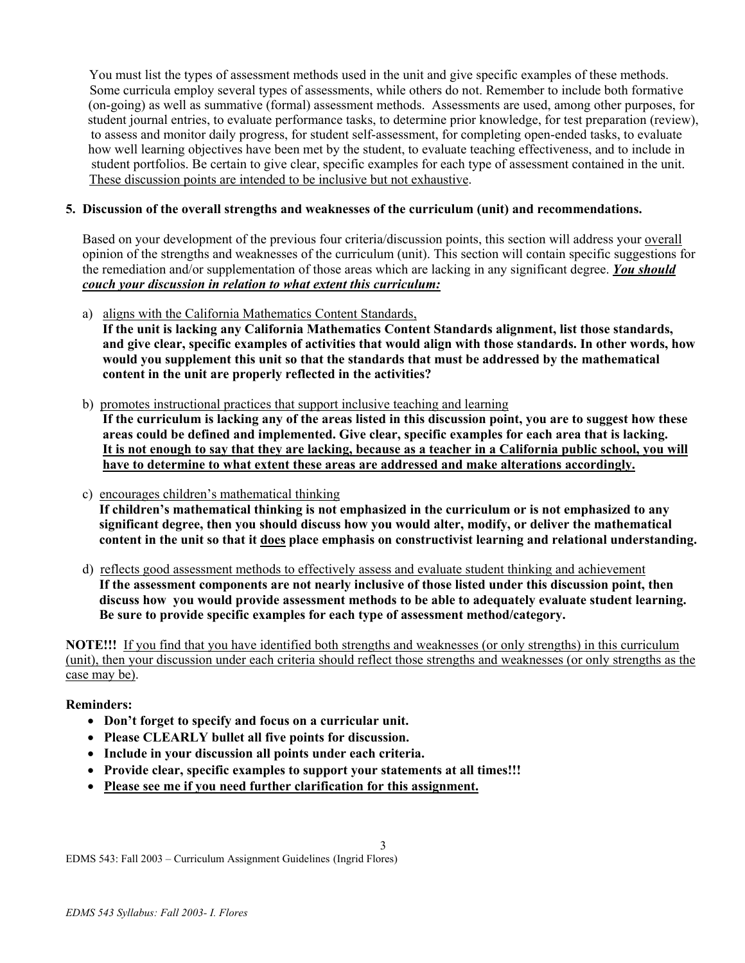You must list the types of assessment methods used in the unit and give specific examples of these methods. Some curricula employ several types of assessments, while others do not. Remember to include both formative (on-going) as well as summative (formal) assessment methods. Assessments are used, among other purposes, for student journal entries, to evaluate performance tasks, to determine prior knowledge, for test preparation (review), to assess and monitor daily progress, for student self-assessment, for completing open-ended tasks, to evaluate how well learning objectives have been met by the student, to evaluate teaching effectiveness, and to include in student portfolios. Be certain to give clear, specific examples for each type of assessment contained in the unit. These discussion points are intended to be inclusive but not exhaustive.

## **5. Discussion of the overall strengths and weaknesses of the curriculum (unit) and recommendations.**

 Based on your development of the previous four criteria/discussion points, this section will address your overall opinion of the strengths and weaknesses of the curriculum (unit). This section will contain specific suggestions for the remediation and/or supplementation of those areas which are lacking in any significant degree. *You should couch your discussion in relation to what extent this curriculum:*

a) aligns with the California Mathematics Content Standards,

 **If the unit is lacking any California Mathematics Content Standards alignment, list those standards, and give clear, specific examples of activities that would align with those standards. In other words, how would you supplement this unit so that the standards that must be addressed by the mathematical content in the unit are properly reflected in the activities?** 

b) promotes instructional practices that support inclusive teaching and learning

 **If the curriculum is lacking any of the areas listed in this discussion point, you are to suggest how these areas could be defined and implemented. Give clear, specific examples for each area that is lacking. It is not enough to say that they are lacking, because as a teacher in a California public school, you will have to determine to what extent these areas are addressed and make alterations accordingly.** 

- c) encourages children's mathematical thinking **If children's mathematical thinking is not emphasized in the curriculum or is not emphasized to any significant degree, then you should discuss how you would alter, modify, or deliver the mathematical content in the unit so that it does place emphasis on constructivist learning and relational understanding.**
- d) reflects good assessment methods to effectively assess and evaluate student thinking and achievement **If the assessment components are not nearly inclusive of those listed under this discussion point, then discuss how you would provide assessment methods to be able to adequately evaluate student learning. Be sure to provide specific examples for each type of assessment method/category.**

**NOTE!!!** If you find that you have identified both strengths and weaknesses (or only strengths) in this curriculum (unit), then your discussion under each criteria should reflect those strengths and weaknesses (or only strengths as the case may be).

3

## **Reminders:**

- **Don't forget to specify and focus on a curricular unit.**
- **Please CLEARLY bullet all five points for discussion.**
- **Include in your discussion all points under each criteria.**
- **Provide clear, specific examples to support your statements at all times!!!**
- **Please see me if you need further clarification for this assignment.**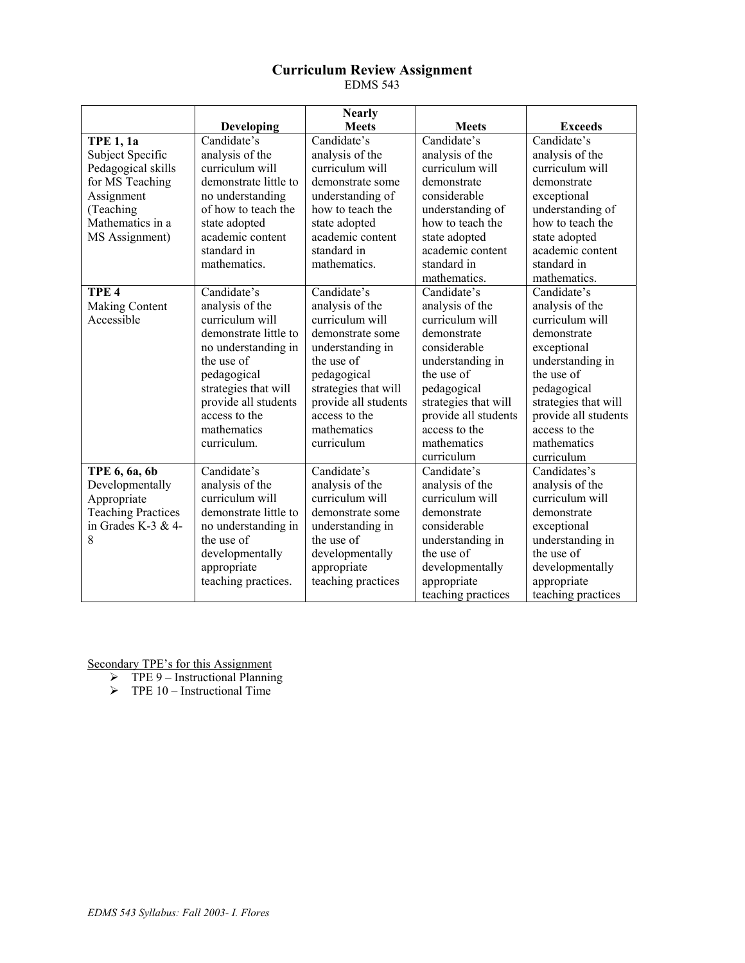## **Curriculum Review Assignment**  EDMS 543

|                           |                       | <b>Nearly</b>        |                      |                      |
|---------------------------|-----------------------|----------------------|----------------------|----------------------|
|                           | Developing            | <b>Meets</b>         | <b>Meets</b>         | <b>Exceeds</b>       |
| <b>TPE 1, 1a</b>          | Candidate's           | Candidate's          | Candidate's          | Candidate's          |
| Subject Specific          | analysis of the       | analysis of the      | analysis of the      | analysis of the      |
| Pedagogical skills        | curriculum will       | curriculum will      | curriculum will      | curriculum will      |
| for MS Teaching           | demonstrate little to | demonstrate some     | demonstrate          | demonstrate          |
| Assignment                | no understanding      | understanding of     | considerable         | exceptional          |
| (Teaching                 | of how to teach the   | how to teach the     | understanding of     | understanding of     |
| Mathematics in a          | state adopted         | state adopted        | how to teach the     | how to teach the     |
| MS Assignment)            | academic content      | academic content     | state adopted        | state adopted        |
|                           | standard in           | standard in          | academic content     | academic content     |
|                           | mathematics.          | mathematics.         | standard in          | standard in          |
|                           |                       |                      | mathematics.         | mathematics.         |
| TPE <sub>4</sub>          | Candidate's           | Candidate's          | Candidate's          | Candidate's          |
| Making Content            | analysis of the       | analysis of the      | analysis of the      | analysis of the      |
| Accessible                | curriculum will       | curriculum will      | curriculum will      | curriculum will      |
|                           | demonstrate little to | demonstrate some     | demonstrate          | demonstrate          |
|                           | no understanding in   | understanding in     | considerable         | exceptional          |
|                           | the use of            | the use of           | understanding in     | understanding in     |
|                           | pedagogical           | pedagogical          | the use of           | the use of           |
|                           | strategies that will  | strategies that will | pedagogical          | pedagogical          |
|                           | provide all students  | provide all students | strategies that will | strategies that will |
|                           | access to the         | access to the        | provide all students | provide all students |
|                           | mathematics           | mathematics          | access to the        | access to the        |
|                           | curriculum.           | curriculum           | mathematics          | mathematics          |
|                           |                       |                      | curriculum           | curriculum           |
| TPE 6, 6a, 6b             | Candidate's           | Candidate's          | Candidate's          | Candidates's         |
| Developmentally           | analysis of the       | analysis of the      | analysis of the      | analysis of the      |
| Appropriate               | curriculum will       | curriculum will      | curriculum will      | curriculum will      |
| <b>Teaching Practices</b> | demonstrate little to | demonstrate some     | demonstrate          | demonstrate          |
| in Grades K-3 & 4-        | no understanding in   | understanding in     | considerable         | exceptional          |
| 8                         | the use of            | the use of           | understanding in     | understanding in     |
|                           | developmentally       | developmentally      | the use of           | the use of           |
|                           | appropriate           | appropriate          | developmentally      | developmentally      |
|                           | teaching practices.   | teaching practices   | appropriate          | appropriate          |
|                           |                       |                      | teaching practices   | teaching practices   |

Secondary TPE's for this Assignment

 $\triangleright$  TPE 9 – Instructional Planning

 $\triangleright$  TPE 10 – Instructional Time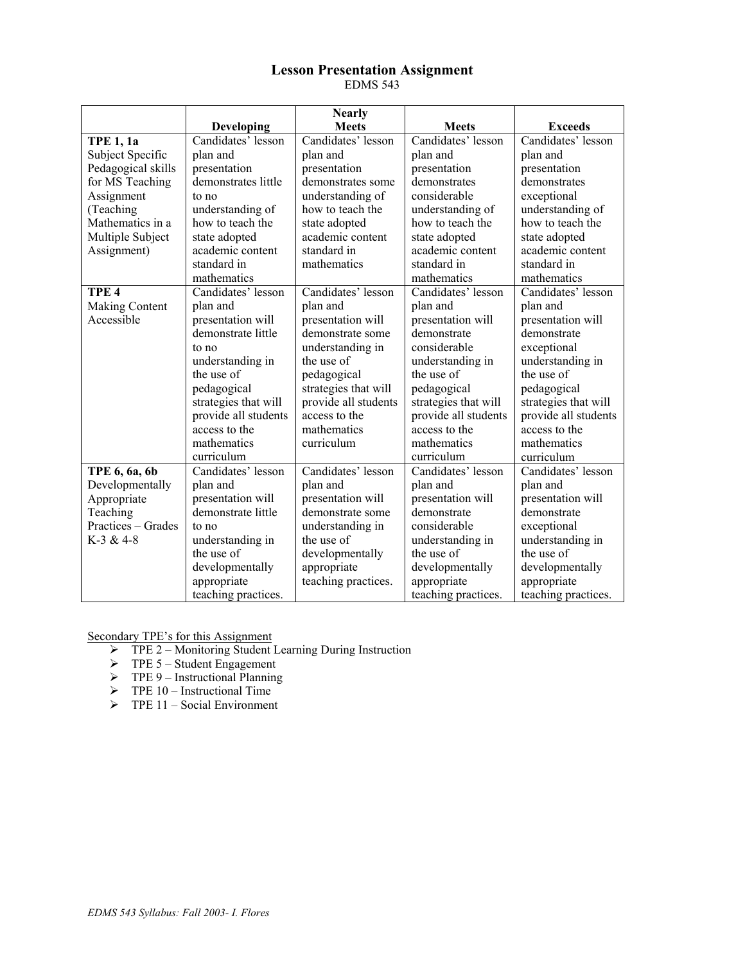### **Lesson Presentation Assignment**  EDMS 543

|                    |                      | <b>Nearly</b>        |                                        |                      |
|--------------------|----------------------|----------------------|----------------------------------------|----------------------|
|                    | Developing           | <b>Meets</b>         | <b>Meets</b>                           | <b>Exceeds</b>       |
| <b>TPE 1, 1a</b>   | Candidates' lesson   | Candidates' lesson   | Candidates' lesson                     | Candidates' lesson   |
| Subject Specific   | plan and             | plan and             | plan and                               | plan and             |
| Pedagogical skills | presentation         | presentation         | presentation                           | presentation         |
| for MS Teaching    | demonstrates little  | demonstrates some    | demonstrates                           | demonstrates         |
| Assignment         | to no                | understanding of     | considerable                           | exceptional          |
| (Teaching          | understanding of     | how to teach the     | understanding of                       | understanding of     |
| Mathematics in a   | how to teach the     | state adopted        | how to teach the                       | how to teach the     |
| Multiple Subject   | state adopted        | academic content     | state adopted                          | state adopted        |
| Assignment)        | academic content     | standard in          | academic content                       | academic content     |
|                    | standard in          | mathematics          | standard in                            | standard in          |
|                    | mathematics          |                      | mathematics                            | mathematics          |
| TPE <sub>4</sub>   | Candidates' lesson   | Candidates' lesson   | Candidates' lesson                     | Candidates' lesson   |
| Making Content     | plan and             | plan and             | plan and                               | plan and             |
| Accessible         | presentation will    | presentation will    | presentation will                      | presentation will    |
|                    | demonstrate little   | demonstrate some     | demonstrate                            | demonstrate          |
|                    | to no                | understanding in     | considerable                           | exceptional          |
|                    | understanding in     | the use of           | understanding in                       | understanding in     |
|                    | the use of           | pedagogical          | the use of                             | the use of           |
|                    | pedagogical          | strategies that will | pedagogical                            | pedagogical          |
|                    | strategies that will | provide all students | strategies that will                   | strategies that will |
|                    | provide all students | access to the        | provide all students                   | provide all students |
|                    | access to the        | mathematics          | access to the<br>access to the         |                      |
|                    | mathematics          | curriculum           | mathematics<br>mathematics             |                      |
|                    | curriculum           |                      | curriculum                             | curriculum           |
| TPE 6, 6a, 6b      | Candidates' lesson   | Candidates' lesson   | Candidates' lesson                     | Candidates' lesson   |
| Developmentally    | plan and             | plan and             | plan and                               | plan and             |
| Appropriate        | presentation will    | presentation will    | presentation will<br>presentation will |                      |
| Teaching           | demonstrate little   | demonstrate some     | demonstrate<br>demonstrate             |                      |
| Practices - Grades | to no                | understanding in     | considerable<br>exceptional            |                      |
| K-3 & 4-8          | understanding in     | the use of           | understanding in<br>understanding in   |                      |
|                    | the use of           | developmentally      | the use of                             | the use of           |
|                    | developmentally      | appropriate          | developmentally                        | developmentally      |
|                    | appropriate          | teaching practices.  | appropriate                            | appropriate          |
|                    | teaching practices.  |                      | teaching practices.                    | teaching practices.  |

Secondary TPE's for this Assignment

- ¾ TPE 2 Monitoring Student Learning During Instruction
- $\triangleright$  TPE 5 Student Engagement
- $\triangleright$  TPE 9 Instructional Planning
- $\triangleright$  TPE 10 Instructional Time
- $\triangleright$  TPE 11 Social Environment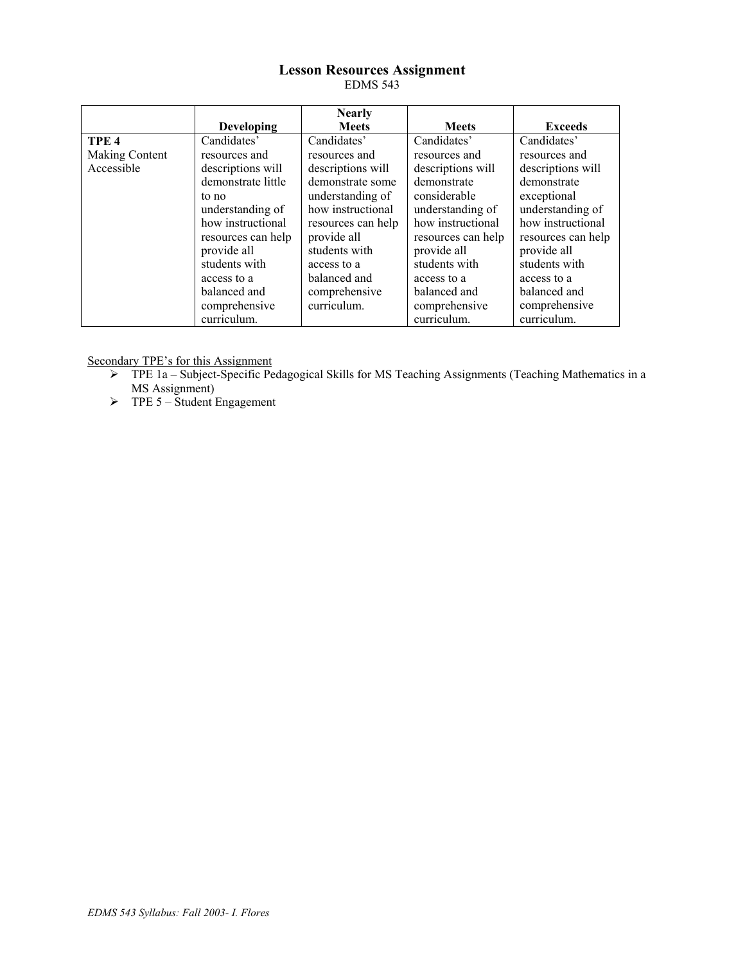### **Lesson Resources Assignment**  EDMS 543

|                  |                    | <b>Nearly</b>      |                                        |                    |
|------------------|--------------------|--------------------|----------------------------------------|--------------------|
|                  | <b>Developing</b>  | <b>Meets</b>       | <b>Meets</b>                           | <b>Exceeds</b>     |
| TPE <sub>4</sub> | Candidates'        | Candidates'        | Candidates'                            | Candidates'        |
| Making Content   | resources and      | resources and      | resources and                          | resources and      |
| Accessible       | descriptions will  | descriptions will  | descriptions will<br>descriptions will |                    |
|                  | demonstrate little | demonstrate some   | demonstrate                            | demonstrate        |
|                  | to no              | understanding of   | considerable                           | exceptional        |
|                  | understanding of   | how instructional  | understanding of                       | understanding of   |
|                  | how instructional  | resources can help | how instructional                      | how instructional  |
|                  | resources can help | provide all        | resources can help                     | resources can help |
|                  | provide all        | students with      | provide all                            | provide all        |
|                  | students with      | access to a        | students with                          | students with      |
|                  | access to a        | balanced and       | access to a                            | access to a        |
|                  | balanced and       | comprehensive      | balanced and                           | balanced and       |
|                  | comprehensive      | curriculum.        | comprehensive                          | comprehensive      |
|                  | curriculum.        |                    | curriculum.                            | curriculum.        |

Secondary TPE's for this Assignment

- ¾ TPE 1a Subject-Specific Pedagogical Skills for MS Teaching Assignments (Teaching Mathematics in a MS Assignment)
- $\triangleright$  TPE 5 Student Engagement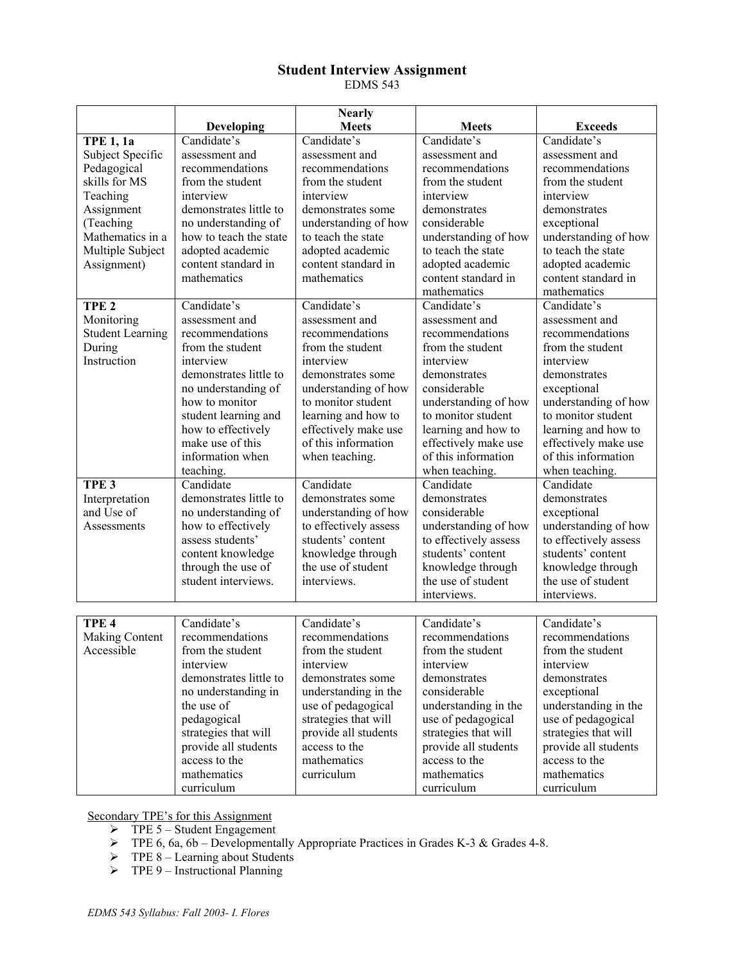## **Student Interview Assignment**  EDMS 543

|                         |                        | <b>Nearly</b>         |                                          |                       |
|-------------------------|------------------------|-----------------------|------------------------------------------|-----------------------|
|                         | <b>Developing</b>      | <b>Meets</b>          | <b>Meets</b>                             | <b>Exceeds</b>        |
| <b>TPE 1, 1a</b>        | Candidate's            | Candidate's           | Candidate's                              | Candidate's           |
| Subject Specific        | assessment and         | assessment and        | assessment and                           | assessment and        |
| Pedagogical             | recommendations        | recommendations       | recommendations                          | recommendations       |
| skills for MS           | from the student       | from the student      | from the student                         | from the student      |
| Teaching                | interview              | interview             | interview                                | interview             |
| Assignment              | demonstrates little to | demonstrates some     | demonstrates                             | demonstrates          |
| (Teaching               | no understanding of    | understanding of how  | considerable                             | exceptional           |
| Mathematics in a        | how to teach the state | to teach the state    | understanding of how                     | understanding of how  |
| Multiple Subject        | adopted academic       | adopted academic      | to teach the state                       | to teach the state    |
| Assignment)             | content standard in    | content standard in   | adopted academic                         | adopted academic      |
|                         | mathematics            | mathematics           | content standard in                      | content standard in   |
|                         |                        |                       | mathematics                              | mathematics           |
| TPE <sub>2</sub>        | Candidate's            | Candidate's           | Candidate's                              | Candidate's           |
| Monitoring              | assessment and         | assessment and        | assessment and                           | assessment and        |
| <b>Student Learning</b> | recommendations        | recommendations       | recommendations                          | recommendations       |
| During                  | from the student       | from the student      | from the student                         | from the student      |
| Instruction             | interview              | interview             | interview                                | interview             |
|                         | demonstrates little to | demonstrates some     | demonstrates                             | demonstrates          |
|                         | no understanding of    | understanding of how  | considerable                             | exceptional           |
|                         | how to monitor         | to monitor student    | understanding of how                     | understanding of how  |
|                         | student learning and   | learning and how to   | to monitor student                       | to monitor student    |
|                         | how to effectively     | effectively make use  | learning and how to                      | learning and how to   |
|                         | make use of this       | of this information   | effectively make use                     | effectively make use  |
|                         | information when       | when teaching.        | of this information                      | of this information   |
|                         | teaching.              |                       | when teaching.                           | when teaching.        |
| TPE <sub>3</sub>        | Candidate              | Candidate             | Candidate                                | Candidate             |
| Interpretation          | demonstrates little to | demonstrates some     | demonstrates                             | demonstrates          |
| and Use of              | no understanding of    | understanding of how  | considerable                             | exceptional           |
| Assessments             | how to effectively     | to effectively assess | understanding of how                     | understanding of how  |
|                         | assess students'       | students' content     | to effectively assess                    | to effectively assess |
|                         | content knowledge      | knowledge through     | students' content                        | students' content     |
|                         | through the use of     | the use of student    | knowledge through                        | knowledge through     |
|                         | student interviews.    | interviews.           | the use of student<br>the use of student |                       |
|                         |                        |                       | interviews.                              | interviews.           |
|                         |                        |                       |                                          |                       |
| TPE <sub>4</sub>        | Candidate's            | Candidate's           | Candidate's                              | Candidate's           |
| Making Content          | recommendations        | recommendations       | recommendations                          | recommendations       |
| Accessible              | from the student       | from the student      | from the student                         | from the student      |
|                         | interview              | interview             | interview                                | interview             |
|                         | demonstrates little to | demonstrates some     | demonstrates                             | demonstrates          |
|                         | no understanding in    | understanding in the  | considerable                             | exceptional           |
|                         | the use of             | use of pedagogical    | understanding in the                     | understanding in the  |
|                         | pedagogical            | strategies that will  | use of pedagogical                       | use of pedagogical    |
|                         | strategies that will   | provide all students  | strategies that will                     | strategies that will  |
|                         | provide all students   | access to the         | provide all students                     | provide all students  |
|                         | access to the          | mathematics           | access to the                            | access to the         |
|                         | mathematics            | curriculum            | mathematics                              | mathematics           |
|                         | curriculum             |                       | curriculum                               | curriculum            |

Secondary TPE's for this Assignment

- $\triangleright$  TPE 5 Student Engagement
- $\triangleright$  TPE 6, 6a, 6b Developmentally Appropriate Practices in Grades K-3 & Grades 4-8.
- $\triangleright$  TPE 8 Learning about Students
- $\triangleright$  TPE 9 Instructional Planning